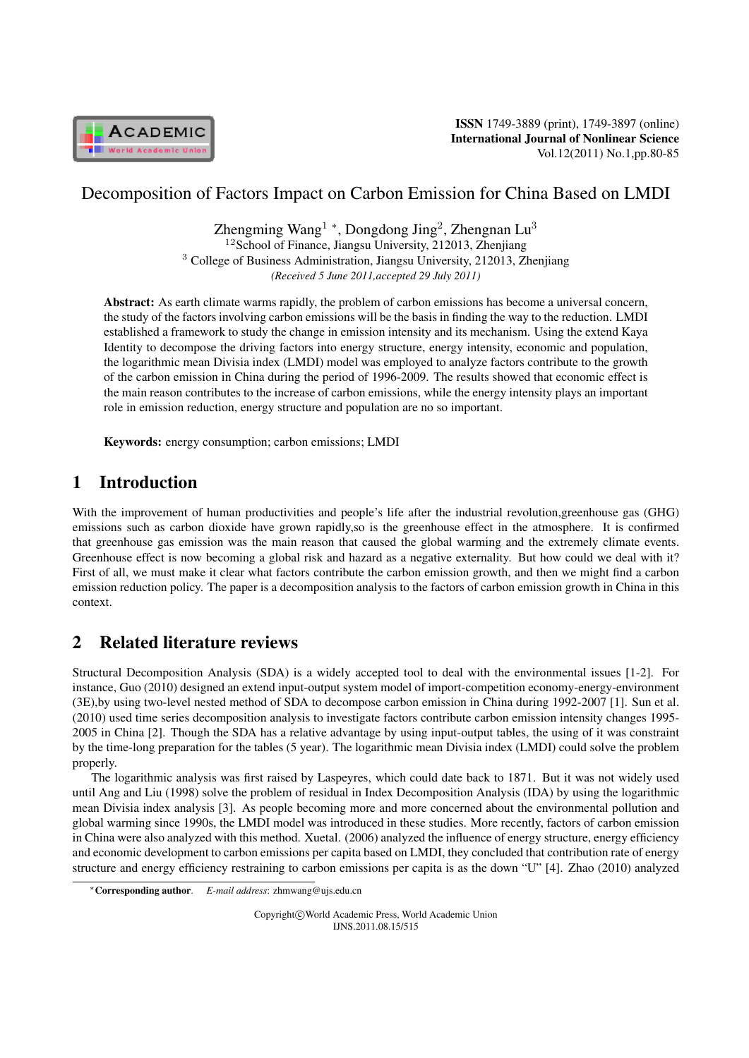

ISSN 1749-3889 (print), 1749-3897 (online) International Journal of Nonlinear Science Vol.12(2011) No.1,pp.80-85

# Decomposition of Factors Impact on Carbon Emission for China Based on LMDI

Zhengming Wang<sup>1</sup> \*, Dongdong Jing<sup>2</sup>, Zhengnan Lu<sup>3</sup> <sup>12</sup>School of Finance, Jiangsu University, 212013, Zhenjiang <sup>3</sup> College of Business Administration, Jiangsu University, 212013, Zhenjiang *(Received 5 June 2011,accepted 29 July 2011)*

Abstract: As earth climate warms rapidly, the problem of carbon emissions has become a universal concern, the study of the factors involving carbon emissions will be the basis in finding the way to the reduction. LMDI established a framework to study the change in emission intensity and its mechanism. Using the extend Kaya Identity to decompose the driving factors into energy structure, energy intensity, economic and population, the logarithmic mean Divisia index (LMDI) model was employed to analyze factors contribute to the growth of the carbon emission in China during the period of 1996-2009. The results showed that economic effect is the main reason contributes to the increase of carbon emissions, while the energy intensity plays an important role in emission reduction, energy structure and population are no so important.

Keywords: energy consumption; carbon emissions; LMDI

# 1 Introduction

With the improvement of human productivities and people's life after the industrial revolution,greenhouse gas (GHG) emissions such as carbon dioxide have grown rapidly,so is the greenhouse effect in the atmosphere. It is confirmed that greenhouse gas emission was the main reason that caused the global warming and the extremely climate events. Greenhouse effect is now becoming a global risk and hazard as a negative externality. But how could we deal with it? First of all, we must make it clear what factors contribute the carbon emission growth, and then we might find a carbon emission reduction policy. The paper is a decomposition analysis to the factors of carbon emission growth in China in this context.

# 2 Related literature reviews

Structural Decomposition Analysis (SDA) is a widely accepted tool to deal with the environmental issues [1-2]. For instance, Guo (2010) designed an extend input-output system model of import-competition economy-energy-environment (3E),by using two-level nested method of SDA to decompose carbon emission in China during 1992-2007 [1]. Sun et al. (2010) used time series decomposition analysis to investigate factors contribute carbon emission intensity changes 1995- 2005 in China [2]. Though the SDA has a relative advantage by using input-output tables, the using of it was constraint by the time-long preparation for the tables (5 year). The logarithmic mean Divisia index (LMDI) could solve the problem properly.

The logarithmic analysis was first raised by Laspeyres, which could date back to 1871. But it was not widely used until Ang and Liu (1998) solve the problem of residual in Index Decomposition Analysis (IDA) by using the logarithmic mean Divisia index analysis [3]. As people becoming more and more concerned about the environmental pollution and global warming since 1990s, the LMDI model was introduced in these studies. More recently, factors of carbon emission in China were also analyzed with this method. Xuetal. (2006) analyzed the influence of energy structure, energy efficiency and economic development to carbon emissions per capita based on LMDI, they concluded that contribution rate of energy structure and energy efficiency restraining to carbon emissions per capita is as the down "U" [4]. Zhao (2010) analyzed

Copyright*⃝*c World Academic Press, World Academic Union IJNS.2011.08.15/515

*<sup>∗</sup>*Corresponding author. *E-mail address*: zhmwang@ujs.edu.cn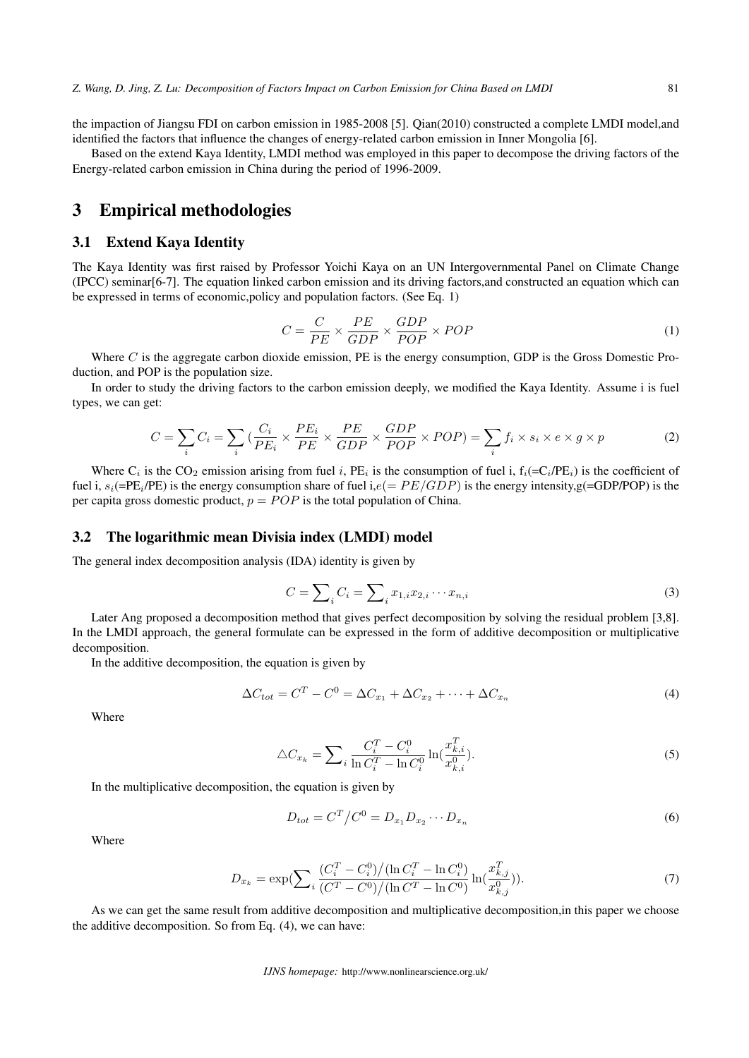the impaction of Jiangsu FDI on carbon emission in 1985-2008 [5]. Qian(2010) constructed a complete LMDI model,and identified the factors that influence the changes of energy-related carbon emission in Inner Mongolia [6].

Based on the extend Kaya Identity, LMDI method was employed in this paper to decompose the driving factors of the Energy-related carbon emission in China during the period of 1996-2009.

### 3 Empirical methodologies

### 3.1 Extend Kaya Identity

The Kaya Identity was first raised by Professor Yoichi Kaya on an UN Intergovernmental Panel on Climate Change (IPCC) seminar[6-7]. The equation linked carbon emission and its driving factors,and constructed an equation which can be expressed in terms of economic,policy and population factors. (See Eq. 1)

$$
C = \frac{C}{PE} \times \frac{PE}{GDP} \times \frac{GDP}{POP} \times POP
$$
 (1)

Where  $C$  is the aggregate carbon dioxide emission, PE is the energy consumption, GDP is the Gross Domestic Production, and POP is the population size.

In order to study the driving factors to the carbon emission deeply, we modified the Kaya Identity. Assume i is fuel types, we can get:

$$
C = \sum_{i} C_{i} = \sum_{i} \left( \frac{C_{i}}{PE_{i}} \times \frac{PE_{i}}{PE} \times \frac{PE}{GDP} \times \frac{GDP}{POP} \times POP \right) = \sum_{i} f_{i} \times s_{i} \times e \times g \times p
$$
 (2)

Where  $C_i$  is the CO<sub>2</sub> emission arising from fuel i, PE<sub>i</sub> is the consumption of fuel i,  $f_i (= C_i / PE_i)$  is the coefficient of fuel i,  $s_i$ (=PE<sub>i</sub>/PE) is the energy consumption share of fuel i, $e$ (=  $PE/GDP$ ) is the energy intensity,g(=GDP/POP) is the per capita gross domestic product,  $p = POP$  is the total population of China.

### 3.2 The logarithmic mean Divisia index (LMDI) model

The general index decomposition analysis (IDA) identity is given by

$$
C = \sum_{i} C_i = \sum_{i} x_{1,i} x_{2,i} \cdots x_{n,i}
$$
 (3)

Later Ang proposed a decomposition method that gives perfect decomposition by solving the residual problem [3,8]. In the LMDI approach, the general formulate can be expressed in the form of additive decomposition or multiplicative decomposition.

In the additive decomposition, the equation is given by

$$
\Delta C_{tot} = C^T - C^0 = \Delta C_{x_1} + \Delta C_{x_2} + \dots + \Delta C_{x_n}
$$
\n
$$
\tag{4}
$$

Where

$$
\triangle C_{x_k} = \sum_{i} \frac{C_i^T - C_i^0}{\ln C_i^T - \ln C_i^0} \ln(\frac{x_{k,i}^T}{x_{k,i}^0}).
$$
\n(5)

In the multiplicative decomposition, the equation is given by

$$
D_{tot} = C^T / C^0 = D_{x_1} D_{x_2} \cdots D_{x_n}
$$
\n(6)

Where

$$
D_{x_k} = \exp\left(\sum_i \frac{(C_i^T - C_i^0) / (\ln C_i^T - \ln C_i^0)}{(C^T - C^0) / (\ln C^T - \ln C^0)} \ln(\frac{x_{k,j}^T}{x_{k,j}^0})\right).
$$
(7)

As we can get the same result from additive decomposition and multiplicative decomposition,in this paper we choose the additive decomposition. So from Eq. (4), we can have: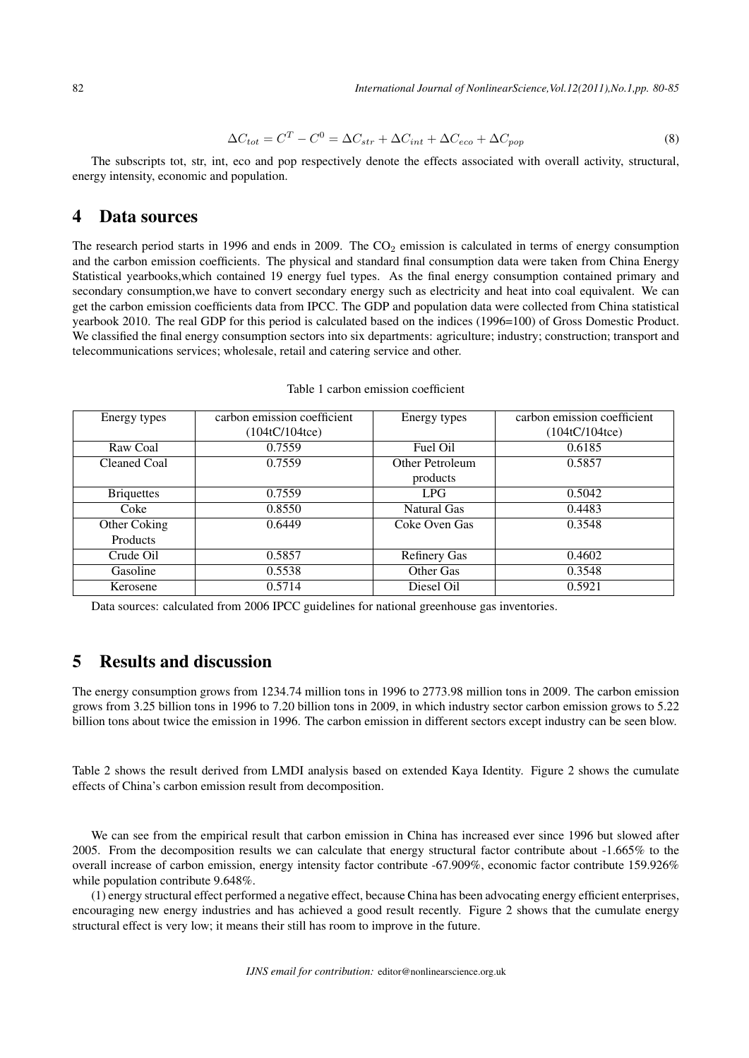$$
\Delta C_{tot} = C^T - C^0 = \Delta C_{str} + \Delta C_{int} + \Delta C_{eco} + \Delta C_{pop}
$$
\n(8)

The subscripts tot, str, int, eco and pop respectively denote the effects associated with overall activity, structural, energy intensity, economic and population.

### 4 Data sources

The research period starts in 1996 and ends in 2009. The  $CO<sub>2</sub>$  emission is calculated in terms of energy consumption and the carbon emission coefficients. The physical and standard final consumption data were taken from China Energy Statistical yearbooks,which contained 19 energy fuel types. As the final energy consumption contained primary and secondary consumption,we have to convert secondary energy such as electricity and heat into coal equivalent. We can get the carbon emission coefficients data from IPCC. The GDP and population data were collected from China statistical yearbook 2010. The real GDP for this period is calculated based on the indices (1996=100) of Gross Domestic Product. We classified the final energy consumption sectors into six departments: agriculture; industry; construction; transport and telecommunications services; wholesale, retail and catering service and other.

| Energy types      | carbon emission coefficient | Energy types        | carbon emission coefficient |  |
|-------------------|-----------------------------|---------------------|-----------------------------|--|
|                   | (104tC/104tce)              |                     | (104tC/104tce)              |  |
| Raw Coal          | 0.7559                      | Fuel Oil            | 0.6185                      |  |
| Cleaned Coal      | 0.7559                      | Other Petroleum     | 0.5857                      |  |
|                   |                             | products            |                             |  |
| <b>Briquettes</b> | 0.7559                      | LPG.                | 0.5042                      |  |
| Coke              | 0.8550                      | Natural Gas         | 0.4483                      |  |
| Other Coking      | 0.6449                      | Coke Oven Gas       | 0.3548                      |  |
| Products          |                             |                     |                             |  |
| Crude Oil         | 0.5857                      | <b>Refinery Gas</b> | 0.4602                      |  |
| Gasoline          | 0.5538                      | Other Gas           | 0.3548                      |  |
| Kerosene          | 0.5714                      | Diesel Oil          | 0.5921                      |  |

#### Table 1 carbon emission coefficient

Data sources: calculated from 2006 IPCC guidelines for national greenhouse gas inventories.

### 5 Results and discussion

The energy consumption grows from 1234.74 million tons in 1996 to 2773.98 million tons in 2009. The carbon emission grows from 3.25 billion tons in 1996 to 7.20 billion tons in 2009, in which industry sector carbon emission grows to 5.22 billion tons about twice the emission in 1996. The carbon emission in different sectors except industry can be seen blow.

Table 2 shows the result derived from LMDI analysis based on extended Kaya Identity. Figure 2 shows the cumulate effects of China's carbon emission result from decomposition.

We can see from the empirical result that carbon emission in China has increased ever since 1996 but slowed after 2005. From the decomposition results we can calculate that energy structural factor contribute about -1.665% to the overall increase of carbon emission, energy intensity factor contribute -67.909%, economic factor contribute 159.926% while population contribute 9.648%.

(1) energy structural effect performed a negative effect, because China has been advocating energy efficient enterprises, encouraging new energy industries and has achieved a good result recently. Figure 2 shows that the cumulate energy structural effect is very low; it means their still has room to improve in the future.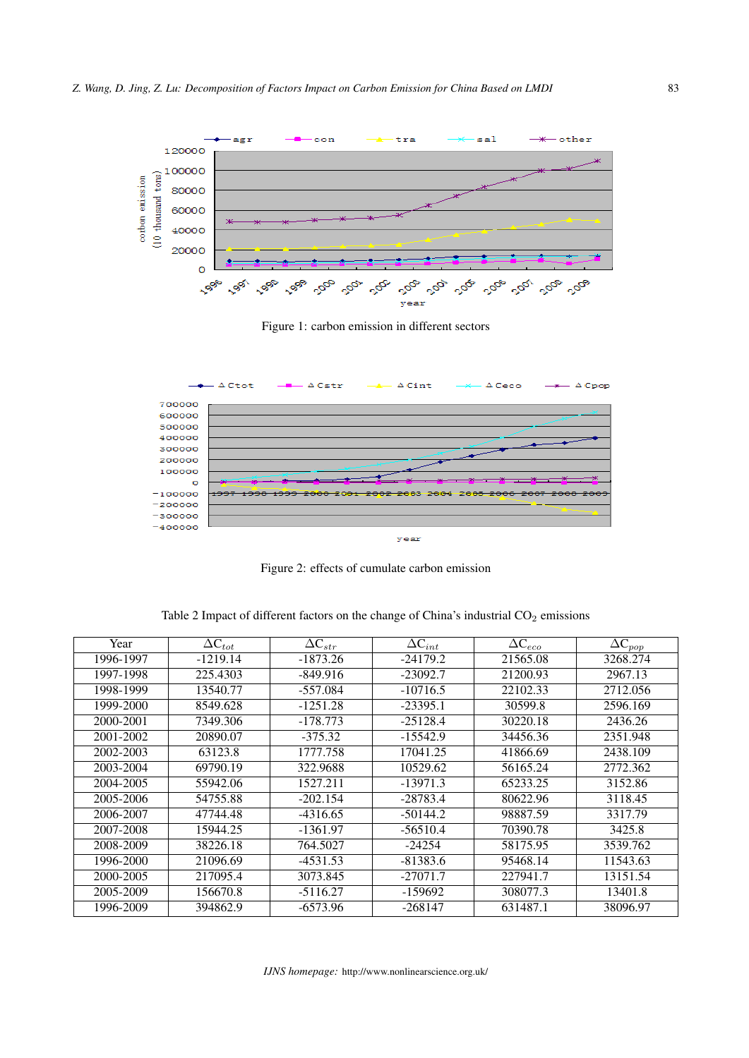

Figure 1: carbon emission in different sectors



Figure 2: effects of cumulate carbon emission

Table 2 Impact of different factors on the change of China's industrial  $CO<sub>2</sub>$  emissions

| Year      | $\Delta C_{tot}$ | $\Delta C_{str}$ | $\Delta C_{int}$ | $\overline{\Delta \mathsf{C}_{eco}}$ | $\overline{\Delta}C_{pop}$ |
|-----------|------------------|------------------|------------------|--------------------------------------|----------------------------|
| 1996-1997 | $-1219.14$       | $-1873.26$       | $-24179.2$       | 21565.08                             | 3268.274                   |
| 1997-1998 | 225.4303         | $-849.916$       | $-23092.7$       | 21200.93                             | 2967.13                    |
| 1998-1999 | 13540.77         | $-557.084$       | $-10716.5$       | 22102.33                             | 2712.056                   |
| 1999-2000 | 8549.628         | $-1251.28$       | $-23395.1$       | 30599.8                              | 2596.169                   |
| 2000-2001 | 7349.306         | $-178.773$       | $-25128.4$       | 30220.18                             | 2436.26                    |
| 2001-2002 | 20890.07         | $-375.32$        | $-15542.9$       | 34456.36                             | 2351.948                   |
| 2002-2003 | 63123.8          | 1777.758         | 17041.25         | 41866.69                             | 2438.109                   |
| 2003-2004 | 69790.19         | 322.9688         | 10529.62         | 56165.24                             | 2772.362                   |
| 2004-2005 | 55942.06         | 1527.211         | $-13971.3$       | 65233.25                             | 3152.86                    |
| 2005-2006 | 54755.88         | $-202.154$       | $-28783.4$       | 80622.96                             | 3118.45                    |
| 2006-2007 | 47744.48         | $-4316.65$       | $-50144.2$       | 98887.59                             | 3317.79                    |
| 2007-2008 | 15944.25         | -1361.97         | $-56510.4$       | 70390.78                             | 3425.8                     |
| 2008-2009 | 38226.18         | 764.5027         | $-24254$         | 58175.95                             | 3539.762                   |
| 1996-2000 | 21096.69         | $-4531.53$       | $-81383.6$       | 95468.14                             | 11543.63                   |
| 2000-2005 | 217095.4         | 3073.845         | $-27071.7$       | 227941.7                             | 13151.54                   |
| 2005-2009 | 156670.8         | $-5116.27$       | -159692          | 308077.3                             | 13401.8                    |
| 1996-2009 | 394862.9         | $-6573.96$       | $-268147$        | 631487.1                             | 38096.97                   |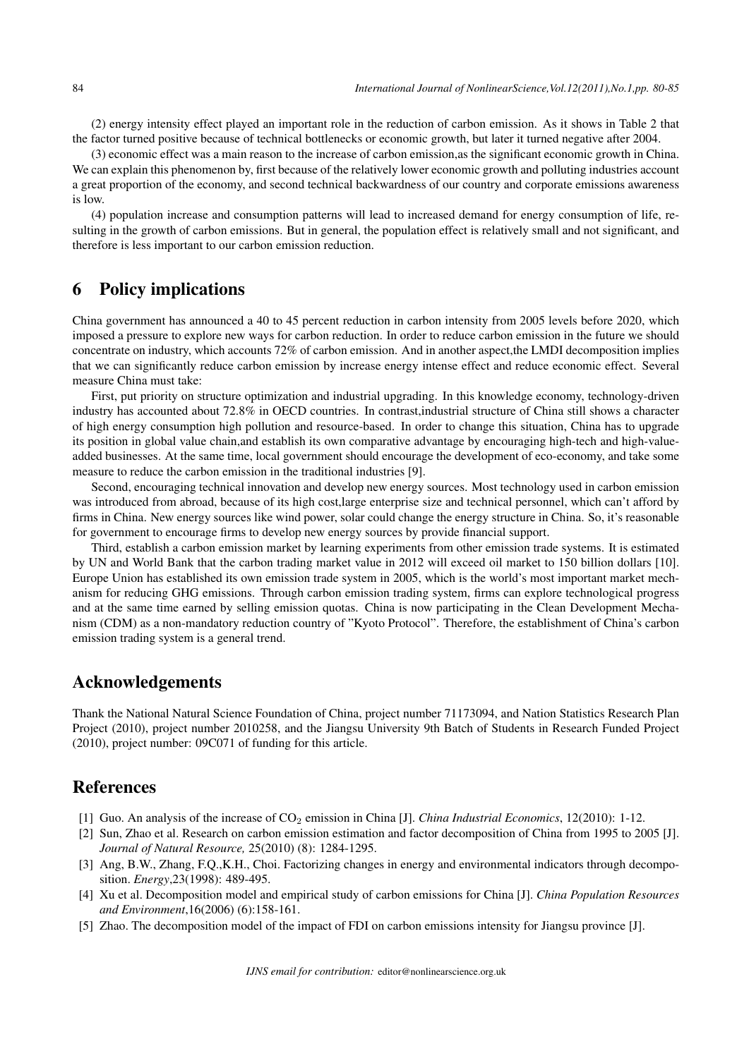(2) energy intensity effect played an important role in the reduction of carbon emission. As it shows in Table 2 that the factor turned positive because of technical bottlenecks or economic growth, but later it turned negative after 2004.

(3) economic effect was a main reason to the increase of carbon emission,as the significant economic growth in China. We can explain this phenomenon by, first because of the relatively lower economic growth and polluting industries account a great proportion of the economy, and second technical backwardness of our country and corporate emissions awareness is low.

(4) population increase and consumption patterns will lead to increased demand for energy consumption of life, resulting in the growth of carbon emissions. But in general, the population effect is relatively small and not significant, and therefore is less important to our carbon emission reduction.

## 6 Policy implications

China government has announced a 40 to 45 percent reduction in carbon intensity from 2005 levels before 2020, which imposed a pressure to explore new ways for carbon reduction. In order to reduce carbon emission in the future we should concentrate on industry, which accounts 72% of carbon emission. And in another aspect,the LMDI decomposition implies that we can significantly reduce carbon emission by increase energy intense effect and reduce economic effect. Several measure China must take:

First, put priority on structure optimization and industrial upgrading. In this knowledge economy, technology-driven industry has accounted about 72.8% in OECD countries. In contrast,industrial structure of China still shows a character of high energy consumption high pollution and resource-based. In order to change this situation, China has to upgrade its position in global value chain,and establish its own comparative advantage by encouraging high-tech and high-valueadded businesses. At the same time, local government should encourage the development of eco-economy, and take some measure to reduce the carbon emission in the traditional industries [9].

Second, encouraging technical innovation and develop new energy sources. Most technology used in carbon emission was introduced from abroad, because of its high cost,large enterprise size and technical personnel, which can't afford by firms in China. New energy sources like wind power, solar could change the energy structure in China. So, it's reasonable for government to encourage firms to develop new energy sources by provide financial support.

Third, establish a carbon emission market by learning experiments from other emission trade systems. It is estimated by UN and World Bank that the carbon trading market value in 2012 will exceed oil market to 150 billion dollars [10]. Europe Union has established its own emission trade system in 2005, which is the world's most important market mechanism for reducing GHG emissions. Through carbon emission trading system, firms can explore technological progress and at the same time earned by selling emission quotas. China is now participating in the Clean Development Mechanism (CDM) as a non-mandatory reduction country of "Kyoto Protocol". Therefore, the establishment of China's carbon emission trading system is a general trend.

### Acknowledgements

Thank the National Natural Science Foundation of China, project number 71173094, and Nation Statistics Research Plan Project (2010), project number 2010258, and the Jiangsu University 9th Batch of Students in Research Funded Project (2010), project number: 09C071 of funding for this article.

### References

- [1] Guo. An analysis of the increase of CO<sup>2</sup> emission in China [J]. *China Industrial Economics*, 12(2010): 1-12.
- [2] Sun, Zhao et al. Research on carbon emission estimation and factor decomposition of China from 1995 to 2005 [J]. *Journal of Natural Resource,* 25(2010) (8): 1284-1295.
- [3] Ang, B.W., Zhang, F.Q.,K.H., Choi. Factorizing changes in energy and environmental indicators through decomposition. *Energy*,23(1998): 489-495.
- [4] Xu et al. Decomposition model and empirical study of carbon emissions for China [J]. *China Population Resources and Environment*,16(2006) (6):158-161.
- [5] Zhao. The decomposition model of the impact of FDI on carbon emissions intensity for Jiangsu province [J].